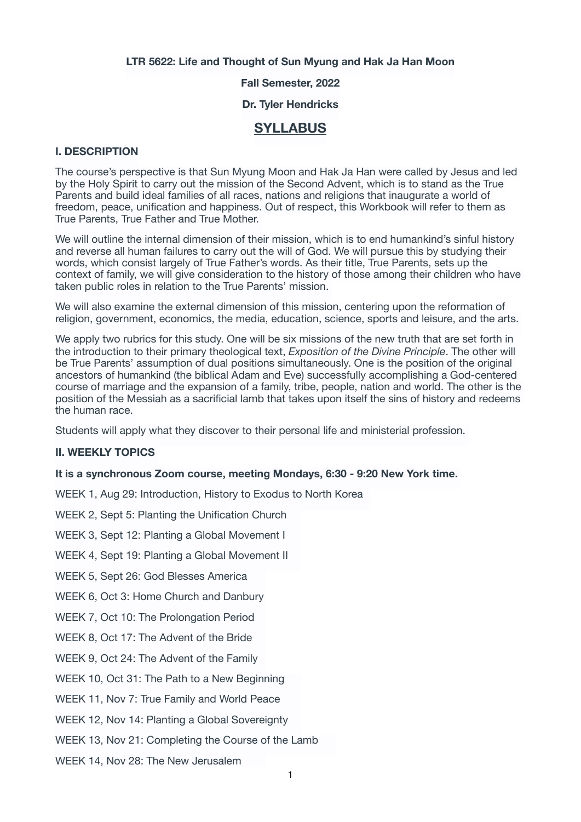**LTR 5622: Life and Thought of Sun Myung and Hak Ja Han Moon** 

**Fall Semester, 2022** 

**Dr. Tyler Hendricks** 

# **SYLLABUS**

## **I. DESCRIPTION**

The course's perspective is that Sun Myung Moon and Hak Ja Han were called by Jesus and led by the Holy Spirit to carry out the mission of the Second Advent, which is to stand as the True Parents and build ideal families of all races, nations and religions that inaugurate a world of freedom, peace, unification and happiness. Out of respect, this Workbook will refer to them as True Parents, True Father and True Mother.

We will outline the internal dimension of their mission, which is to end humankind's sinful history and reverse all human failures to carry out the will of God. We will pursue this by studying their words, which consist largely of True Father's words. As their title, True Parents, sets up the context of family, we will give consideration to the history of those among their children who have taken public roles in relation to the True Parents' mission.

We will also examine the external dimension of this mission, centering upon the reformation of religion, government, economics, the media, education, science, sports and leisure, and the arts.

We apply two rubrics for this study. One will be six missions of the new truth that are set forth in the introduction to their primary theological text, *Exposition of the Divine Principle*. The other will be True Parents' assumption of dual positions simultaneously. One is the position of the original ancestors of humankind (the biblical Adam and Eve) successfully accomplishing a God-centered course of marriage and the expansion of a family, tribe, people, nation and world. The other is the position of the Messiah as a sacrificial lamb that takes upon itself the sins of history and redeems the human race.

Students will apply what they discover to their personal life and ministerial profession.

### **II. WEEKLY TOPICS**

#### **It is a synchronous Zoom course, meeting Mondays, 6:30 - 9:20 New York time.**

WEEK 1, Aug 29: Introduction, History to Exodus to North Korea

WEEK 2, Sept 5: Planting the Unification Church

WEEK 3, Sept 12: Planting a Global Movement I

WEEK 4, Sept 19: Planting a Global Movement II

WEEK 5, Sept 26: God Blesses America

WEEK 6, Oct 3: Home Church and Danbury

WEEK 7, Oct 10: The Prolongation Period

WEEK 8, Oct 17: The Advent of the Bride

WEEK 9, Oct 24: The Advent of the Family

WEEK 10, Oct 31: The Path to a New Beginning

WEEK 11, Nov 7: True Family and World Peace

WEEK 12, Nov 14: Planting a Global Sovereignty

WEEK 13, Nov 21: Completing the Course of the Lamb

WEEK 14, Nov 28: The New Jerusalem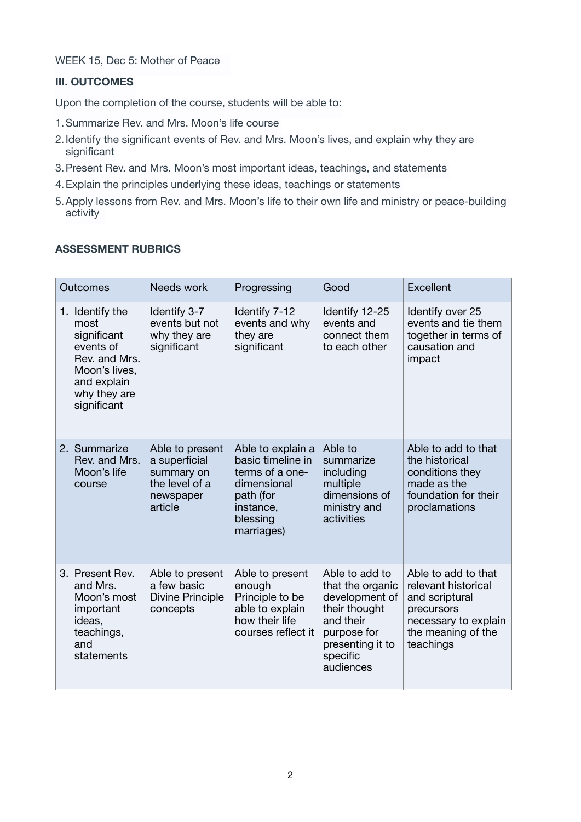WEEK 15, Dec 5: Mother of Peace

## **III. OUTCOMES**

Upon the completion of the course, students will be able to:

- 1.Summarize Rev. and Mrs. Moon's life course
- 2.Identify the significant events of Rev. and Mrs. Moon's lives, and explain why they are significant
- 3.Present Rev. and Mrs. Moon's most important ideas, teachings, and statements
- 4.Explain the principles underlying these ideas, teachings or statements
- 5.Apply lessons from Rev. and Mrs. Moon's life to their own life and ministry or peace-building activity

## **ASSESSMENT RUBRICS**

| Outcomes                                                                                                                            | Needs work                                                                               | Progressing                                                                                                                  | Good                                                                                                                                           | Excellent                                                                                                                             |
|-------------------------------------------------------------------------------------------------------------------------------------|------------------------------------------------------------------------------------------|------------------------------------------------------------------------------------------------------------------------------|------------------------------------------------------------------------------------------------------------------------------------------------|---------------------------------------------------------------------------------------------------------------------------------------|
| 1. Identify the<br>most<br>significant<br>events of<br>Rev. and Mrs.<br>Moon's lives,<br>and explain<br>why they are<br>significant | Identify 3-7<br>events but not<br>why they are<br>significant                            | Identify 7-12<br>events and why<br>they are<br>significant                                                                   | Identify 12-25<br>events and<br>connect them<br>to each other                                                                                  | Identify over 25<br>events and tie them<br>together in terms of<br>causation and<br>impact                                            |
| 2. Summarize<br>Rev. and Mrs.<br>Moon's life<br>course                                                                              | Able to present<br>a superficial<br>summary on<br>the level of a<br>newspaper<br>article | Able to explain a<br>basic timeline in<br>terms of a one-<br>dimensional<br>path (for<br>instance,<br>blessing<br>marriages) | Able to<br>summarize<br>including<br>multiple<br>dimensions of<br>ministry and<br>activities                                                   | Able to add to that<br>the historical<br>conditions they<br>made as the<br>foundation for their<br>proclamations                      |
| 3. Present Rev.<br>and Mrs.<br>Moon's most<br>important<br>ideas,<br>teachings,<br>and<br>statements                                | Able to present<br>a few basic<br><b>Divine Principle</b><br>concepts                    | Able to present<br>enough<br>Principle to be<br>able to explain<br>how their life<br>courses reflect it                      | Able to add to<br>that the organic<br>development of<br>their thought<br>and their<br>purpose for<br>presenting it to<br>specific<br>audiences | Able to add to that<br>relevant historical<br>and scriptural<br>precursors<br>necessary to explain<br>the meaning of the<br>teachings |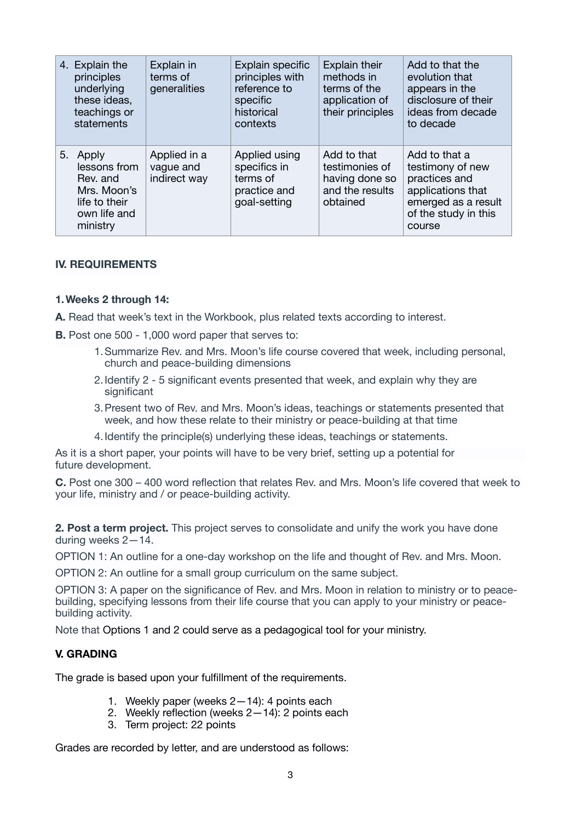| 4. Explain the<br>principles<br>underlying<br>these ideas,<br>teachings or<br>statements         | Explain in<br>terms of<br>generalities    | Explain specific<br>principles with<br>reference to<br>specific<br>historical<br>contexts | <b>Explain their</b><br>methods in<br>terms of the<br>application of<br>their principles | Add to that the<br>evolution that<br>appears in the<br>disclosure of their<br>ideas from decade<br>to decade                     |
|--------------------------------------------------------------------------------------------------|-------------------------------------------|-------------------------------------------------------------------------------------------|------------------------------------------------------------------------------------------|----------------------------------------------------------------------------------------------------------------------------------|
| 5. Apply<br>lessons from<br>Rev. and<br>Mrs. Moon's<br>life to their<br>own life and<br>ministry | Applied in a<br>vague and<br>indirect way | Applied using<br>specifics in<br>terms of<br>practice and<br>goal-setting                 | Add to that<br>testimonies of<br>having done so<br>and the results<br>obtained           | Add to that a<br>testimony of new<br>practices and<br>applications that<br>emerged as a result<br>of the study in this<br>course |

## **IV. REQUIREMENTS**

### **1.Weeks 2 through 14:**

**A.** Read that week's text in the Workbook, plus related texts according to interest.

- **B.** Post one 500 1,000 word paper that serves to:
	- 1.Summarize Rev. and Mrs. Moon's life course covered that week, including personal, church and peace-building dimensions
	- 2.Identify 2 5 significant events presented that week, and explain why they are significant
	- 3.Present two of Rev. and Mrs. Moon's ideas, teachings or statements presented that week, and how these relate to their ministry or peace-building at that time
	- 4.Identify the principle(s) underlying these ideas, teachings or statements.

As it is a short paper, your points will have to be very brief, setting up a potential for future development.

**C.** Post one 300 – 400 word reflection that relates Rev. and Mrs. Moon's life covered that week to your life, ministry and / or peace-building activity.

**2. Post a term project.** This project serves to consolidate and unify the work you have done during weeks 2—14.

OPTION 1: An outline for a one-day workshop on the life and thought of Rev. and Mrs. Moon.

OPTION 2: An outline for a small group curriculum on the same subject.

OPTION 3: A paper on the significance of Rev. and Mrs. Moon in relation to ministry or to peacebuilding, specifying lessons from their life course that you can apply to your ministry or peacebuilding activity.

Note that Options 1 and 2 could serve as a pedagogical tool for your ministry.

### **V. GRADING**

The grade is based upon your fulfillment of the requirements.

- 1. Weekly paper (weeks 2—14): 4 points each
- 2. Weekly reflection (weeks 2—14): 2 points each
- 3. Term project: 22 points

Grades are recorded by letter, and are understood as follows: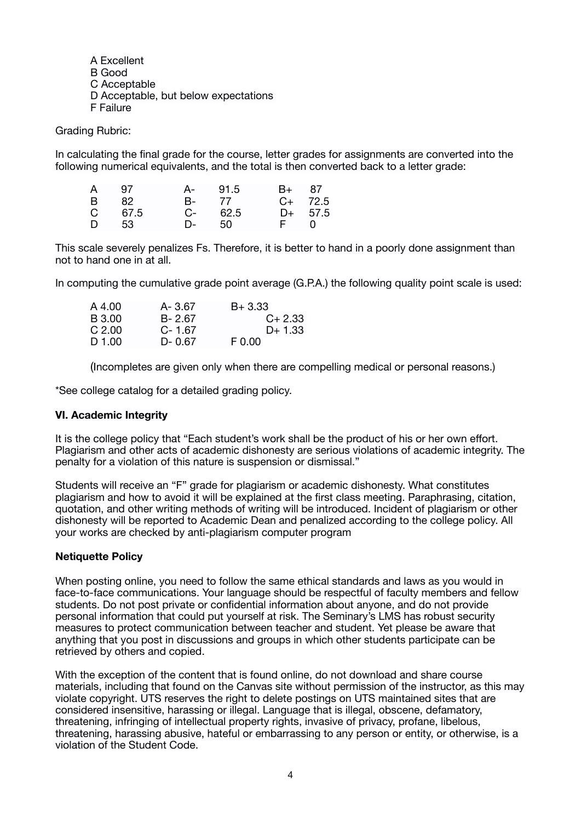A Excellent B Good C Acceptable D Acceptable, but below expectations F Failure

Grading Rubric:

In calculating the final grade for the course, letter grades for assignments are converted into the following numerical equivalents, and the total is then converted back to a letter grade:

| A 97     | A- 91.5    | B+ 87        |
|----------|------------|--------------|
| B 82     | B- 77      | $C+ 72.5$    |
| $C$ 67.5 | $C - 62.5$ | $D+ 57.5$    |
| D 53     | D- 50      | $F \qquad 0$ |

This scale severely penalizes Fs. Therefore, it is better to hand in a poorly done assignment than not to hand one in at all.

In computing the cumulative grade point average (G.P.A.) the following quality point scale is used:

| A 4.00 | A-3.67     | $B + 3.33$ |
|--------|------------|------------|
| B 3.00 | $B - 2.67$ | $C+2.33$   |
| C.2.00 | $C - 1.67$ | $D+1.33$   |
| D 1.00 | D-0.67     | F 0.00     |

(Incompletes are given only when there are compelling medical or personal reasons.)

\*See college catalog for a detailed grading policy.

#### **VI. Academic Integrity**

It is the college policy that "Each student's work shall be the product of his or her own effort. Plagiarism and other acts of academic dishonesty are serious violations of academic integrity. The penalty for a violation of this nature is suspension or dismissal."

Students will receive an "F" grade for plagiarism or academic dishonesty. What constitutes plagiarism and how to avoid it will be explained at the first class meeting. Paraphrasing, citation, quotation, and other writing methods of writing will be introduced. Incident of plagiarism or other dishonesty will be reported to Academic Dean and penalized according to the college policy. All your works are checked by anti-plagiarism computer program

### **Netiquette Policy**

When posting online, you need to follow the same ethical standards and laws as you would in face-to-face communications. Your language should be respectful of faculty members and fellow students. Do not post private or confidential information about anyone, and do not provide personal information that could put yourself at risk. The Seminary's LMS has robust security measures to protect communication between teacher and student. Yet please be aware that anything that you post in discussions and groups in which other students participate can be retrieved by others and copied.

With the exception of the content that is found online, do not download and share course materials, including that found on the Canvas site without permission of the instructor, as this may violate copyright. UTS reserves the right to delete postings on UTS maintained sites that are considered insensitive, harassing or illegal. Language that is illegal, obscene, defamatory, threatening, infringing of intellectual property rights, invasive of privacy, profane, libelous, threatening, harassing abusive, hateful or embarrassing to any person or entity, or otherwise, is a violation of the Student Code.